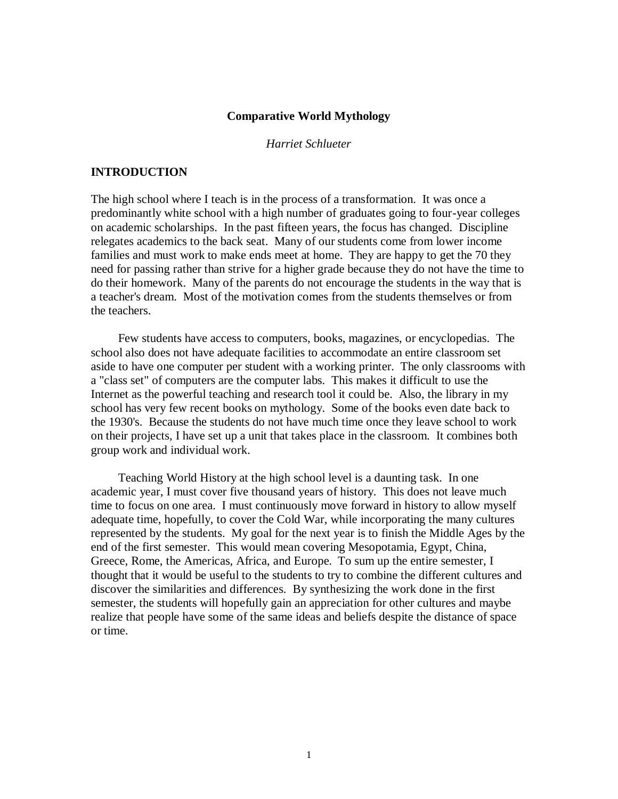#### **Comparative World Mythology**

*Harriet Schlueter*

#### **INTRODUCTION**

The high school where I teach is in the process of a transformation. It was once a predominantly white school with a high number of graduates going to four-year colleges on academic scholarships. In the past fifteen years, the focus has changed. Discipline relegates academics to the back seat. Many of our students come from lower income families and must work to make ends meet at home. They are happy to get the 70 they need for passing rather than strive for a higher grade because they do not have the time to do their homework. Many of the parents do not encourage the students in the way that is a teacher's dream. Most of the motivation comes from the students themselves or from the teachers.

Few students have access to computers, books, magazines, or encyclopedias. The school also does not have adequate facilities to accommodate an entire classroom set aside to have one computer per student with a working printer. The only classrooms with a "class set" of computers are the computer labs. This makes it difficult to use the Internet as the powerful teaching and research tool it could be. Also, the library in my school has very few recent books on mythology. Some of the books even date back to the 1930's. Because the students do not have much time once they leave school to work on their projects, I have set up a unit that takes place in the classroom. It combines both group work and individual work.

Teaching World History at the high school level is a daunting task. In one academic year, I must cover five thousand years of history. This does not leave much time to focus on one area. I must continuously move forward in history to allow myself adequate time, hopefully, to cover the Cold War, while incorporating the many cultures represented by the students. My goal for the next year is to finish the Middle Ages by the end of the first semester. This would mean covering Mesopotamia, Egypt, China, Greece, Rome, the Americas, Africa, and Europe. To sum up the entire semester, I thought that it would be useful to the students to try to combine the different cultures and discover the similarities and differences. By synthesizing the work done in the first semester, the students will hopefully gain an appreciation for other cultures and maybe realize that people have some of the same ideas and beliefs despite the distance of space or time.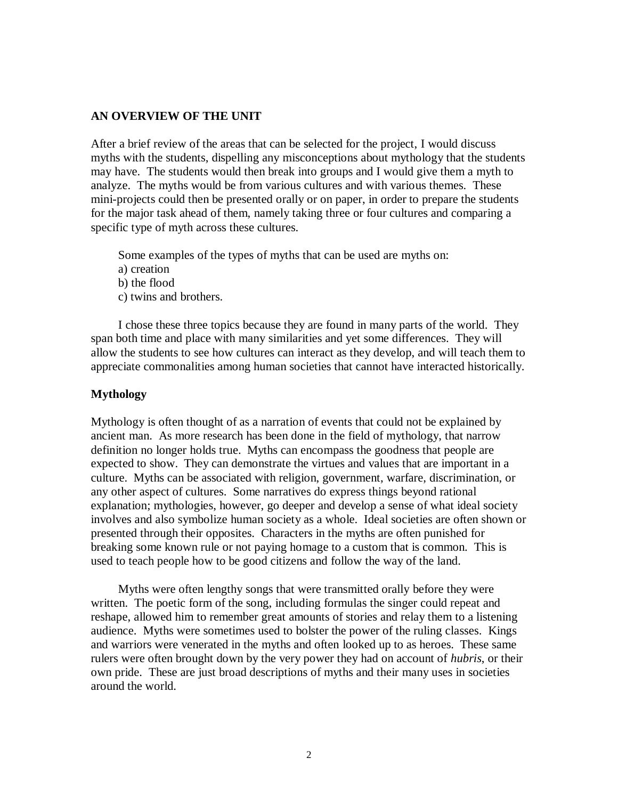#### **AN OVERVIEW OF THE UNIT**

After a brief review of the areas that can be selected for the project, I would discuss myths with the students, dispelling any misconceptions about mythology that the students may have. The students would then break into groups and I would give them a myth to analyze. The myths would be from various cultures and with various themes. These mini-projects could then be presented orally or on paper, in order to prepare the students for the major task ahead of them, namely taking three or four cultures and comparing a specific type of myth across these cultures.

Some examples of the types of myths that can be used are myths on:

- a) creation
- b) the flood
- c) twins and brothers.

I chose these three topics because they are found in many parts of the world. They span both time and place with many similarities and yet some differences. They will allow the students to see how cultures can interact as they develop, and will teach them to appreciate commonalities among human societies that cannot have interacted historically.

#### **Mythology**

Mythology is often thought of as a narration of events that could not be explained by ancient man. As more research has been done in the field of mythology, that narrow definition no longer holds true. Myths can encompass the goodness that people are expected to show. They can demonstrate the virtues and values that are important in a culture. Myths can be associated with religion, government, warfare, discrimination, or any other aspect of cultures. Some narratives do express things beyond rational explanation; mythologies, however, go deeper and develop a sense of what ideal society involves and also symbolize human society as a whole. Ideal societies are often shown or presented through their opposites. Characters in the myths are often punished for breaking some known rule or not paying homage to a custom that is common. This is used to teach people how to be good citizens and follow the way of the land.

Myths were often lengthy songs that were transmitted orally before they were written. The poetic form of the song, including formulas the singer could repeat and reshape, allowed him to remember great amounts of stories and relay them to a listening audience. Myths were sometimes used to bolster the power of the ruling classes. Kings and warriors were venerated in the myths and often looked up to as heroes. These same rulers were often brought down by the very power they had on account of *hubris*, or their own pride. These are just broad descriptions of myths and their many uses in societies around the world.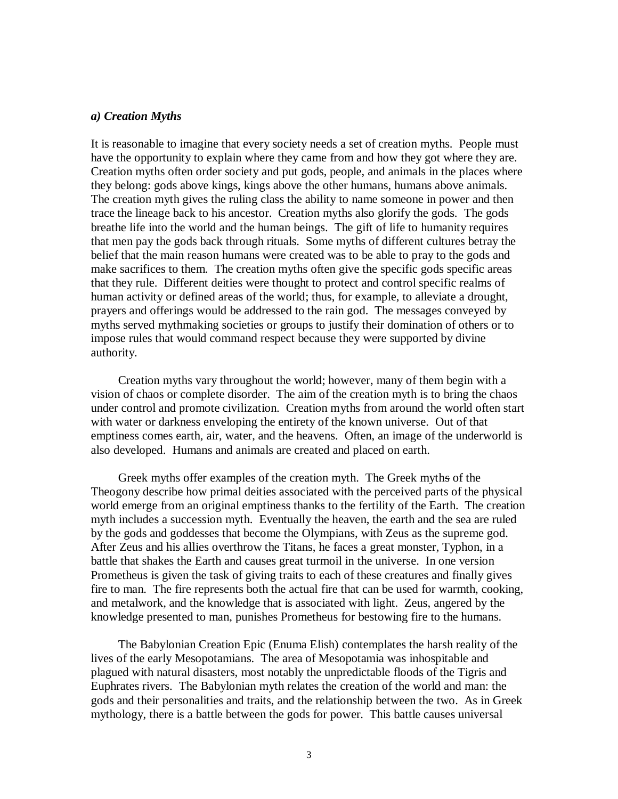#### *a) Creation Myths*

It is reasonable to imagine that every society needs a set of creation myths. People must have the opportunity to explain where they came from and how they got where they are. Creation myths often order society and put gods, people, and animals in the places where they belong: gods above kings, kings above the other humans, humans above animals. The creation myth gives the ruling class the ability to name someone in power and then trace the lineage back to his ancestor. Creation myths also glorify the gods. The gods breathe life into the world and the human beings. The gift of life to humanity requires that men pay the gods back through rituals. Some myths of different cultures betray the belief that the main reason humans were created was to be able to pray to the gods and make sacrifices to them. The creation myths often give the specific gods specific areas that they rule. Different deities were thought to protect and control specific realms of human activity or defined areas of the world; thus, for example, to alleviate a drought, prayers and offerings would be addressed to the rain god. The messages conveyed by myths served mythmaking societies or groups to justify their domination of others or to impose rules that would command respect because they were supported by divine authority.

Creation myths vary throughout the world; however, many of them begin with a vision of chaos or complete disorder. The aim of the creation myth is to bring the chaos under control and promote civilization. Creation myths from around the world often start with water or darkness enveloping the entirety of the known universe. Out of that emptiness comes earth, air, water, and the heavens. Often, an image of the underworld is also developed. Humans and animals are created and placed on earth.

Greek myths offer examples of the creation myth. The Greek myths of the Theogony describe how primal deities associated with the perceived parts of the physical world emerge from an original emptiness thanks to the fertility of the Earth. The creation myth includes a succession myth. Eventually the heaven, the earth and the sea are ruled by the gods and goddesses that become the Olympians, with Zeus as the supreme god. After Zeus and his allies overthrow the Titans, he faces a great monster, Typhon, in a battle that shakes the Earth and causes great turmoil in the universe. In one version Prometheus is given the task of giving traits to each of these creatures and finally gives fire to man. The fire represents both the actual fire that can be used for warmth, cooking, and metalwork, and the knowledge that is associated with light. Zeus, angered by the knowledge presented to man, punishes Prometheus for bestowing fire to the humans.

The Babylonian Creation Epic (Enuma Elish) contemplates the harsh reality of the lives of the early Mesopotamians. The area of Mesopotamia was inhospitable and plagued with natural disasters, most notably the unpredictable floods of the Tigris and Euphrates rivers. The Babylonian myth relates the creation of the world and man: the gods and their personalities and traits, and the relationship between the two. As in Greek mythology, there is a battle between the gods for power. This battle causes universal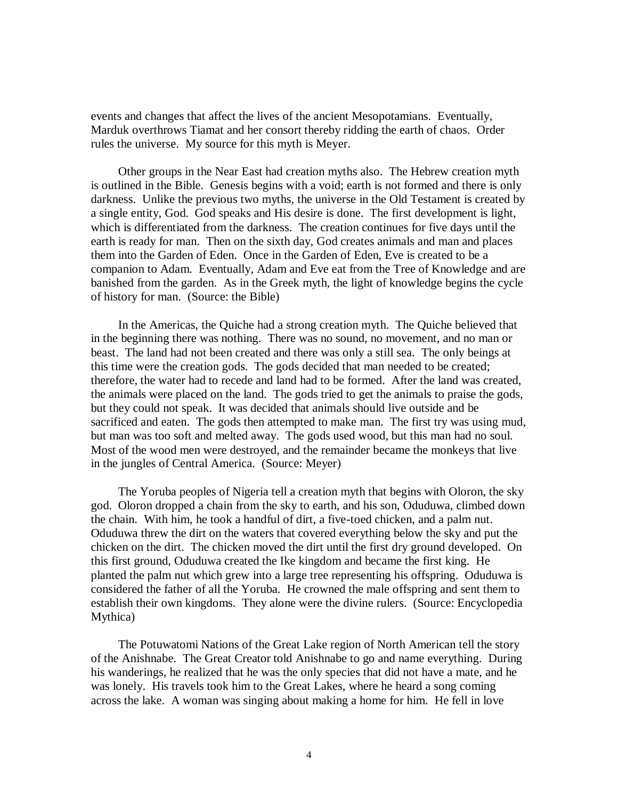events and changes that affect the lives of the ancient Mesopotamians. Eventually, Marduk overthrows Tiamat and her consort thereby ridding the earth of chaos. Order rules the universe. My source for this myth is Meyer.

Other groups in the Near East had creation myths also. The Hebrew creation myth is outlined in the Bible. Genesis begins with a void; earth is not formed and there is only darkness. Unlike the previous two myths, the universe in the Old Testament is created by a single entity, God. God speaks and His desire is done. The first development is light, which is differentiated from the darkness. The creation continues for five days until the earth is ready for man. Then on the sixth day, God creates animals and man and places them into the Garden of Eden. Once in the Garden of Eden, Eve is created to be a companion to Adam. Eventually, Adam and Eve eat from the Tree of Knowledge and are banished from the garden. As in the Greek myth, the light of knowledge begins the cycle of history for man. (Source: the Bible)

In the Americas, the Quiche had a strong creation myth. The Quiche believed that in the beginning there was nothing. There was no sound, no movement, and no man or beast. The land had not been created and there was only a still sea. The only beings at this time were the creation gods. The gods decided that man needed to be created; therefore, the water had to recede and land had to be formed. After the land was created, the animals were placed on the land. The gods tried to get the animals to praise the gods, but they could not speak. It was decided that animals should live outside and be sacrificed and eaten. The gods then attempted to make man. The first try was using mud, but man was too soft and melted away. The gods used wood, but this man had no soul. Most of the wood men were destroyed, and the remainder became the monkeys that live in the jungles of Central America. (Source: Meyer)

The Yoruba peoples of Nigeria tell a creation myth that begins with Oloron, the sky god. Oloron dropped a chain from the sky to earth, and his son, Oduduwa, climbed down the chain. With him, he took a handful of dirt, a five-toed chicken, and a palm nut. Oduduwa threw the dirt on the waters that covered everything below the sky and put the chicken on the dirt. The chicken moved the dirt until the first dry ground developed. On this first ground, Oduduwa created the Ike kingdom and became the first king. He planted the palm nut which grew into a large tree representing his offspring. Oduduwa is considered the father of all the Yoruba. He crowned the male offspring and sent them to establish their own kingdoms. They alone were the divine rulers. (Source: Encyclopedia Mythica)

The Potuwatomi Nations of the Great Lake region of North American tell the story of the Anishnabe. The Great Creator told Anishnabe to go and name everything. During his wanderings, he realized that he was the only species that did not have a mate, and he was lonely. His travels took him to the Great Lakes, where he heard a song coming across the lake. A woman was singing about making a home for him. He fell in love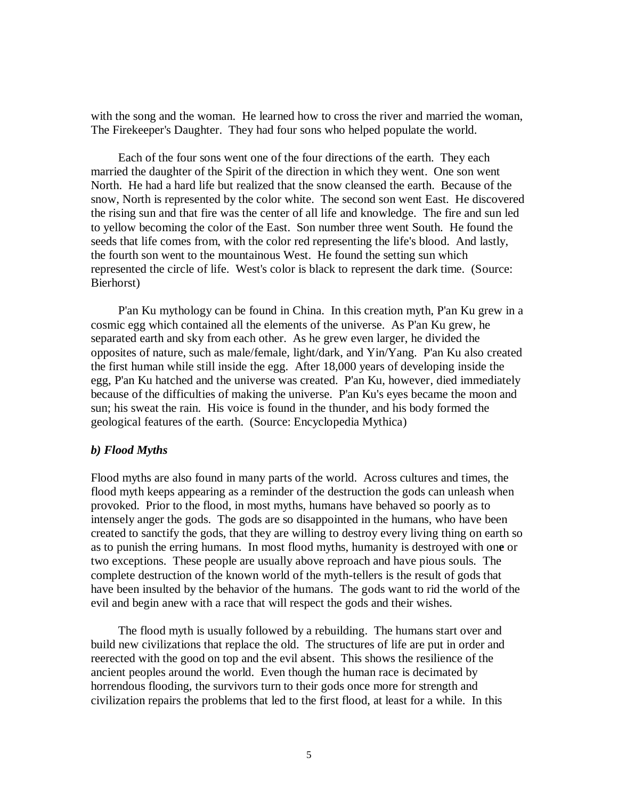with the song and the woman. He learned how to cross the river and married the woman, The Firekeeper's Daughter. They had four sons who helped populate the world.

Each of the four sons went one of the four directions of the earth. They each married the daughter of the Spirit of the direction in which they went. One son went North. He had a hard life but realized that the snow cleansed the earth. Because of the snow, North is represented by the color white. The second son went East. He discovered the rising sun and that fire was the center of all life and knowledge. The fire and sun led to yellow becoming the color of the East. Son number three went South. He found the seeds that life comes from, with the color red representing the life's blood. And lastly, the fourth son went to the mountainous West. He found the setting sun which represented the circle of life. West's color is black to represent the dark time. (Source: Bierhorst)

P'an Ku mythology can be found in China. In this creation myth, P'an Ku grew in a cosmic egg which contained all the elements of the universe. As P'an Ku grew, he separated earth and sky from each other. As he grew even larger, he divided the opposites of nature, such as male/female, light/dark, and Yin/Yang. P'an Ku also created the first human while still inside the egg. After 18,000 years of developing inside the egg, P'an Ku hatched and the universe was created. P'an Ku, however, died immediately because of the difficulties of making the universe. P'an Ku's eyes became the moon and sun; his sweat the rain. His voice is found in the thunder, and his body formed the geological features of the earth. (Source: Encyclopedia Mythica)

#### *b) Flood Myths*

Flood myths are also found in many parts of the world. Across cultures and times, the flood myth keeps appearing as a reminder of the destruction the gods can unleash when provoked. Prior to the flood, in most myths, humans have behaved so poorly as to intensely anger the gods. The gods are so disappointed in the humans, who have been created to sanctify the gods, that they are willing to destroy every living thing on earth so as to punish the erring humans. In most flood myths, humanity is destroyed with on**e** or two exceptions. These people are usually above reproach and have pious souls. The complete destruction of the known world of the myth-tellers is the result of gods that have been insulted by the behavior of the humans. The gods want to rid the world of the evil and begin anew with a race that will respect the gods and their wishes.

The flood myth is usually followed by a rebuilding. The humans start over and build new civilizations that replace the old. The structures of life are put in order and reerected with the good on top and the evil absent. This shows the resilience of the ancient peoples around the world. Even though the human race is decimated by horrendous flooding, the survivors turn to their gods once more for strength and civilization repairs the problems that led to the first flood, at least for a while. In this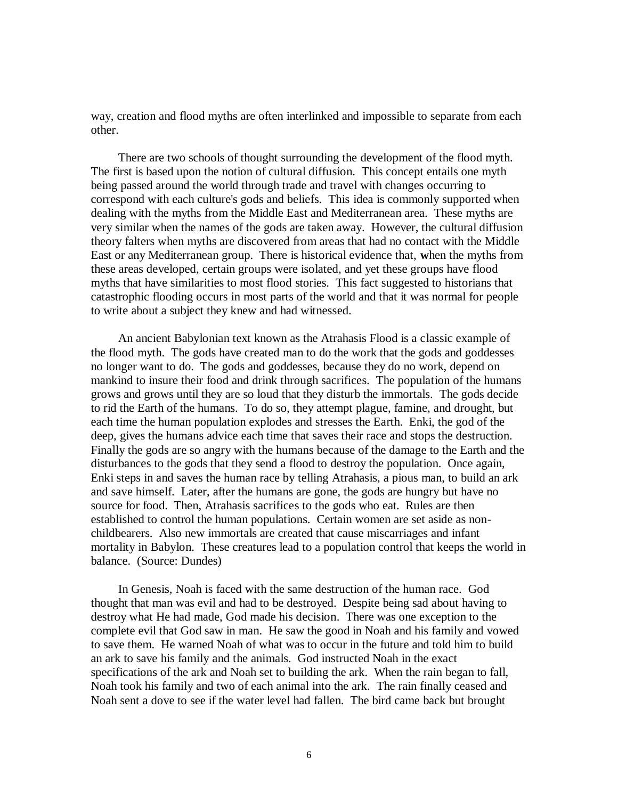way, creation and flood myths are often interlinked and impossible to separate from each other.

There are two schools of thought surrounding the development of the flood myth. The first is based upon the notion of cultural diffusion. This concept entails one myth being passed around the world through trade and travel with changes occurring to correspond with each culture's gods and beliefs. This idea is commonly supported when dealing with the myths from the Middle East and Mediterranean area. These myths are very similar when the names of the gods are taken away. However, the cultural diffusion theory falters when myths are discovered from areas that had no contact with the Middle East or any Mediterranean group. There is historical evidence that, **w**hen the myths from these areas developed, certain groups were isolated, and yet these groups have flood myths that have similarities to most flood stories. This fact suggested to historians that catastrophic flooding occurs in most parts of the world and that it was normal for people to write about a subject they knew and had witnessed.

An ancient Babylonian text known as the Atrahasis Flood is a classic example of the flood myth. The gods have created man to do the work that the gods and goddesses no longer want to do. The gods and goddesses, because they do no work, depend on mankind to insure their food and drink through sacrifices. The population of the humans grows and grows until they are so loud that they disturb the immortals. The gods decide to rid the Earth of the humans. To do so, they attempt plague, famine, and drought, but each time the human population explodes and stresses the Earth. Enki, the god of the deep, gives the humans advice each time that saves their race and stops the destruction. Finally the gods are so angry with the humans because of the damage to the Earth and the disturbances to the gods that they send a flood to destroy the population. Once again, Enki steps in and saves the human race by telling Atrahasis, a pious man, to build an ark and save himself. Later, after the humans are gone, the gods are hungry but have no source for food. Then, Atrahasis sacrifices to the gods who eat. Rules are then established to control the human populations. Certain women are set aside as nonchildbearers. Also new immortals are created that cause miscarriages and infant mortality in Babylon. These creatures lead to a population control that keeps the world in balance. (Source: Dundes)

In Genesis, Noah is faced with the same destruction of the human race. God thought that man was evil and had to be destroyed. Despite being sad about having to destroy what He had made, God made his decision. There was one exception to the complete evil that God saw in man. He saw the good in Noah and his family and vowed to save them. He warned Noah of what was to occur in the future and told him to build an ark to save his family and the animals. God instructed Noah in the exact specifications of the ark and Noah set to building the ark. When the rain began to fall, Noah took his family and two of each animal into the ark. The rain finally ceased and Noah sent a dove to see if the water level had fallen. The bird came back but brought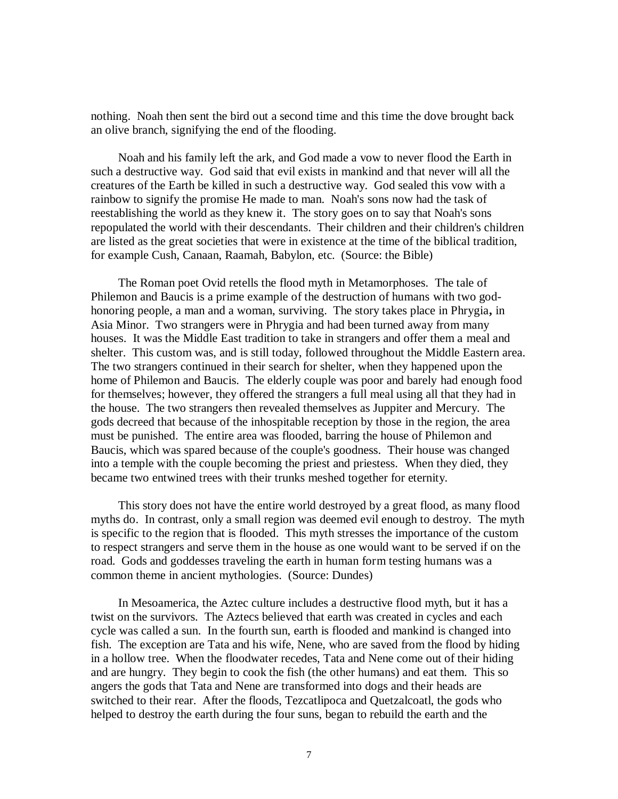nothing. Noah then sent the bird out a second time and this time the dove brought back an olive branch, signifying the end of the flooding.

Noah and his family left the ark, and God made a vow to never flood the Earth in such a destructive way. God said that evil exists in mankind and that never will all the creatures of the Earth be killed in such a destructive way. God sealed this vow with a rainbow to signify the promise He made to man. Noah's sons now had the task of reestablishing the world as they knew it. The story goes on to say that Noah's sons repopulated the world with their descendants. Their children and their children's children are listed as the great societies that were in existence at the time of the biblical tradition, for example Cush, Canaan, Raamah, Babylon, etc. (Source: the Bible)

The Roman poet Ovid retells the flood myth in Metamorphoses. The tale of Philemon and Baucis is a prime example of the destruction of humans with two godhonoring people, a man and a woman, surviving. The story takes place in Phrygia**,** in Asia Minor. Two strangers were in Phrygia and had been turned away from many houses. It was the Middle East tradition to take in strangers and offer them a meal and shelter. This custom was, and is still today, followed throughout the Middle Eastern area. The two strangers continued in their search for shelter, when they happened upon the home of Philemon and Baucis. The elderly couple was poor and barely had enough food for themselves; however, they offered the strangers a full meal using all that they had in the house. The two strangers then revealed themselves as Juppiter and Mercury. The gods decreed that because of the inhospitable reception by those in the region, the area must be punished. The entire area was flooded, barring the house of Philemon and Baucis, which was spared because of the couple's goodness. Their house was changed into a temple with the couple becoming the priest and priestess. When they died, they became two entwined trees with their trunks meshed together for eternity.

This story does not have the entire world destroyed by a great flood, as many flood myths do. In contrast, only a small region was deemed evil enough to destroy. The myth is specific to the region that is flooded. This myth stresses the importance of the custom to respect strangers and serve them in the house as one would want to be served if on the road. Gods and goddesses traveling the earth in human form testing humans was a common theme in ancient mythologies. (Source: Dundes)

In Mesoamerica, the Aztec culture includes a destructive flood myth, but it has a twist on the survivors. The Aztecs believed that earth was created in cycles and each cycle was called a sun. In the fourth sun, earth is flooded and mankind is changed into fish. The exception are Tata and his wife, Nene, who are saved from the flood by hiding in a hollow tree. When the floodwater recedes, Tata and Nene come out of their hiding and are hungry. They begin to cook the fish (the other humans) and eat them. This so angers the gods that Tata and Nene are transformed into dogs and their heads are switched to their rear. After the floods, Tezcatlipoca and Quetzalcoatl, the gods who helped to destroy the earth during the four suns, began to rebuild the earth and the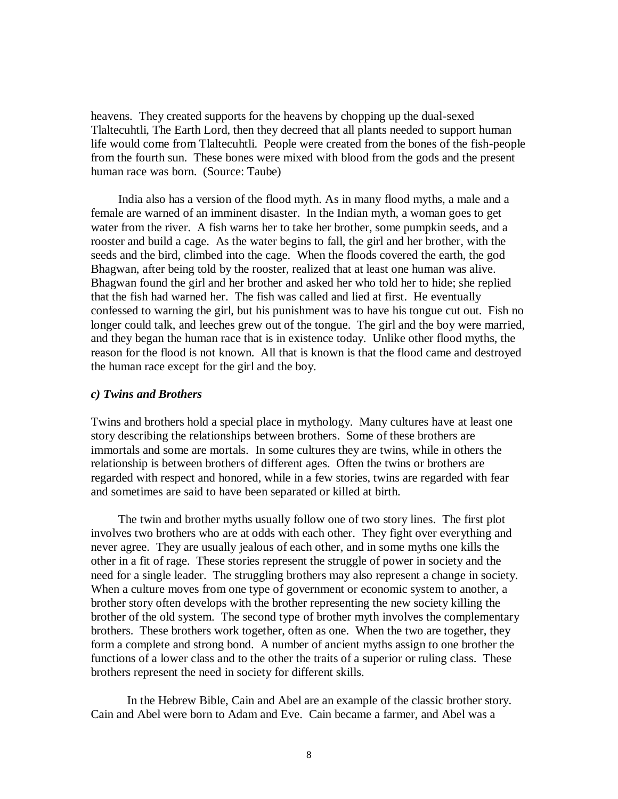heavens. They created supports for the heavens by chopping up the dual-sexed Tlaltecuhtli, The Earth Lord, then they decreed that all plants needed to support human life would come from Tlaltecuhtli. People were created from the bones of the fish-people from the fourth sun. These bones were mixed with blood from the gods and the present human race was born. (Source: Taube)

India also has a version of the flood myth. As in many flood myths, a male and a female are warned of an imminent disaster. In the Indian myth, a woman goes to get water from the river. A fish warns her to take her brother, some pumpkin seeds, and a rooster and build a cage. As the water begins to fall, the girl and her brother, with the seeds and the bird, climbed into the cage. When the floods covered the earth, the god Bhagwan, after being told by the rooster, realized that at least one human was alive. Bhagwan found the girl and her brother and asked her who told her to hide; she replied that the fish had warned her. The fish was called and lied at first. He eventually confessed to warning the girl, but his punishment was to have his tongue cut out. Fish no longer could talk, and leeches grew out of the tongue. The girl and the boy were married, and they began the human race that is in existence today. Unlike other flood myths, the reason for the flood is not known. All that is known is that the flood came and destroyed the human race except for the girl and the boy.

#### *c) Twins and Brothers*

Twins and brothers hold a special place in mythology. Many cultures have at least one story describing the relationships between brothers. Some of these brothers are immortals and some are mortals. In some cultures they are twins, while in others the relationship is between brothers of different ages. Often the twins or brothers are regarded with respect and honored, while in a few stories, twins are regarded with fear and sometimes are said to have been separated or killed at birth.

The twin and brother myths usually follow one of two story lines. The first plot involves two brothers who are at odds with each other. They fight over everything and never agree. They are usually jealous of each other, and in some myths one kills the other in a fit of rage. These stories represent the struggle of power in society and the need for a single leader. The struggling brothers may also represent a change in society. When a culture moves from one type of government or economic system to another, a brother story often develops with the brother representing the new society killing the brother of the old system. The second type of brother myth involves the complementary brothers. These brothers work together, often as one. When the two are together, they form a complete and strong bond. A number of ancient myths assign to one brother the functions of a lower class and to the other the traits of a superior or ruling class. These brothers represent the need in society for different skills.

In the Hebrew Bible, Cain and Abel are an example of the classic brother story. Cain and Abel were born to Adam and Eve. Cain became a farmer, and Abel was a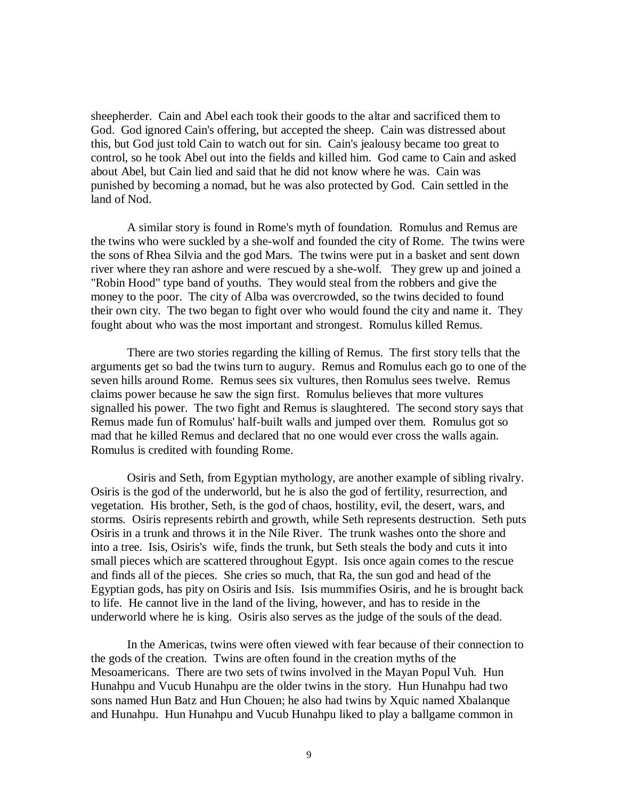sheepherder. Cain and Abel each took their goods to the altar and sacrificed them to God. God ignored Cain's offering, but accepted the sheep. Cain was distressed about this, but God just told Cain to watch out for sin. Cain's jealousy became too great to control, so he took Abel out into the fields and killed him. God came to Cain and asked about Abel, but Cain lied and said that he did not know where he was. Cain was punished by becoming a nomad, but he was also protected by God. Cain settled in the land of Nod.

A similar story is found in Rome's myth of foundation. Romulus and Remus are the twins who were suckled by a she-wolf and founded the city of Rome. The twins were the sons of Rhea Silvia and the god Mars. The twins were put in a basket and sent down river where they ran ashore and were rescued by a she-wolf. They grew up and joined a "Robin Hood" type band of youths. They would steal from the robbers and give the money to the poor. The city of Alba was overcrowded, so the twins decided to found their own city. The two began to fight over who would found the city and name it. They fought about who was the most important and strongest. Romulus killed Remus.

There are two stories regarding the killing of Remus. The first story tells that the arguments get so bad the twins turn to augury. Remus and Romulus each go to one of the seven hills around Rome. Remus sees six vultures, then Romulus sees twelve. Remus claims power because he saw the sign first. Romulus believes that more vultures signalled his power. The two fight and Remus is slaughtered. The second story says that Remus made fun of Romulus' half-built walls and jumped over them. Romulus got so mad that he killed Remus and declared that no one would ever cross the walls again. Romulus is credited with founding Rome.

Osiris and Seth, from Egyptian mythology, are another example of sibling rivalry. Osiris is the god of the underworld, but he is also the god of fertility, resurrection, and vegetation. His brother, Seth, is the god of chaos, hostility, evil, the desert, wars, and storms. Osiris represents rebirth and growth, while Seth represents destruction. Seth puts Osiris in a trunk and throws it in the Nile River. The trunk washes onto the shore and into a tree. Isis, Osiris's wife, finds the trunk, but Seth steals the body and cuts it into small pieces which are scattered throughout Egypt. Isis once again comes to the rescue and finds all of the pieces. She cries so much, that Ra, the sun god and head of the Egyptian gods, has pity on Osiris and Isis. Isis mummifies Osiris, and he is brought back to life. He cannot live in the land of the living, however, and has to reside in the underworld where he is king. Osiris also serves as the judge of the souls of the dead.

In the Americas, twins were often viewed with fear because of their connection to the gods of the creation. Twins are often found in the creation myths of the Mesoamericans. There are two sets of twins involved in the Mayan Popul Vuh. Hun Hunahpu and Vucub Hunahpu are the older twins in the story. Hun Hunahpu had two sons named Hun Batz and Hun Chouen; he also had twins by Xquic named Xbalanque and Hunahpu. Hun Hunahpu and Vucub Hunahpu liked to play a ballgame common in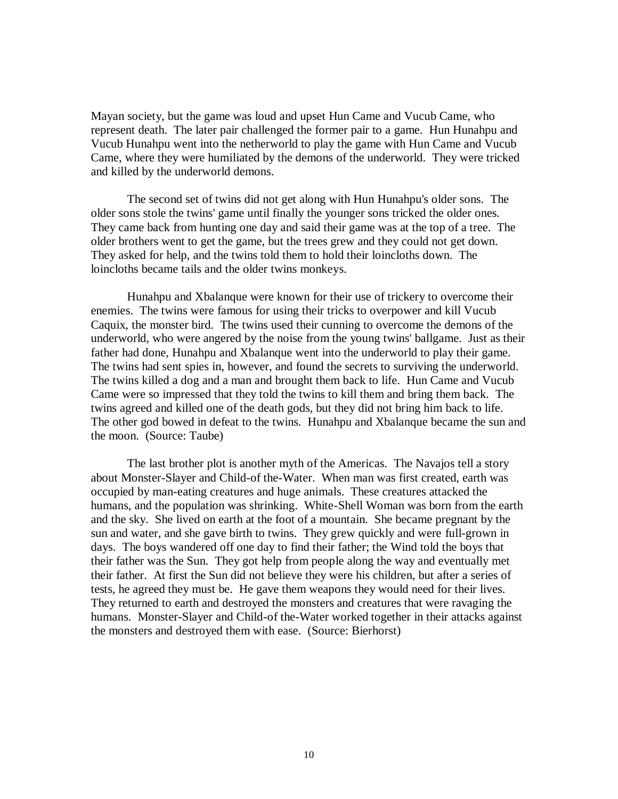Mayan society, but the game was loud and upset Hun Came and Vucub Came, who represent death. The later pair challenged the former pair to a game. Hun Hunahpu and Vucub Hunahpu went into the netherworld to play the game with Hun Came and Vucub Came, where they were humiliated by the demons of the underworld. They were tricked and killed by the underworld demons.

The second set of twins did not get along with Hun Hunahpu's older sons. The older sons stole the twins' game until finally the younger sons tricked the older ones. They came back from hunting one day and said their game was at the top of a tree. The older brothers went to get the game, but the trees grew and they could not get down. They asked for help, and the twins told them to hold their loincloths down. The loincloths became tails and the older twins monkeys.

Hunahpu and Xbalanque were known for their use of trickery to overcome their enemies. The twins were famous for using their tricks to overpower and kill Vucub Caquix, the monster bird. The twins used their cunning to overcome the demons of the underworld, who were angered by the noise from the young twins' ballgame. Just as their father had done, Hunahpu and Xbalanque went into the underworld to play their game. The twins had sent spies in, however, and found the secrets to surviving the underworld. The twins killed a dog and a man and brought them back to life. Hun Came and Vucub Came were so impressed that they told the twins to kill them and bring them back. The twins agreed and killed one of the death gods, but they did not bring him back to life. The other god bowed in defeat to the twins. Hunahpu and Xbalanque became the sun and the moon. (Source: Taube)

The last brother plot is another myth of the Americas. The Navajos tell a story about Monster-Slayer and Child-of the-Water. When man was first created, earth was occupied by man-eating creatures and huge animals. These creatures attacked the humans, and the population was shrinking. White-Shell Woman was born from the earth and the sky. She lived on earth at the foot of a mountain. She became pregnant by the sun and water, and she gave birth to twins. They grew quickly and were full-grown in days. The boys wandered off one day to find their father; the Wind told the boys that their father was the Sun. They got help from people along the way and eventually met their father. At first the Sun did not believe they were his children, but after a series of tests, he agreed they must be. He gave them weapons they would need for their lives. They returned to earth and destroyed the monsters and creatures that were ravaging the humans. Monster-Slayer and Child-of the-Water worked together in their attacks against the monsters and destroyed them with ease. (Source: Bierhorst)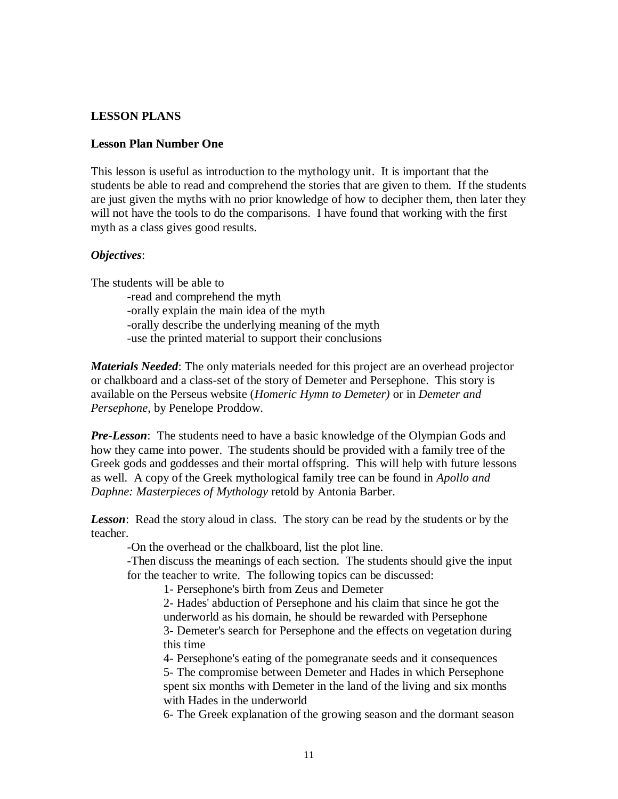# **LESSON PLANS**

# **Lesson Plan Number One**

This lesson is useful as introduction to the mythology unit. It is important that the students be able to read and comprehend the stories that are given to them. If the students are just given the myths with no prior knowledge of how to decipher them, then later they will not have the tools to do the comparisons. I have found that working with the first myth as a class gives good results.

# *Objectives*:

The students will be able to

-read and comprehend the myth -orally explain the main idea of the myth -orally describe the underlying meaning of the myth -use the printed material to support their conclusions

*Materials Needed*: The only materials needed for this project are an overhead projector or chalkboard and a class-set of the story of Demeter and Persephone. This story is available on the Perseus website (*Homeric Hymn to Demeter)* or in *Demeter and Persephone*, by Penelope Proddow.

*Pre-Lesson*: The students need to have a basic knowledge of the Olympian Gods and how they came into power. The students should be provided with a family tree of the Greek gods and goddesses and their mortal offspring. This will help with future lessons as well. A copy of the Greek mythological family tree can be found in *Apollo and Daphne: Masterpieces of Mythology* retold by Antonia Barber.

*Lesson*: Read the story aloud in class. The story can be read by the students or by the teacher.

-On the overhead or the chalkboard, list the plot line.

-Then discuss the meanings of each section. The students should give the input for the teacher to write. The following topics can be discussed:

1- Persephone's birth from Zeus and Demeter

2- Hades' abduction of Persephone and his claim that since he got the underworld as his domain, he should be rewarded with Persephone 3- Demeter's search for Persephone and the effects on vegetation during

this time

4- Persephone's eating of the pomegranate seeds and it consequences

5- The compromise between Demeter and Hades in which Persephone spent six months with Demeter in the land of the living and six months with Hades in the underworld

6- The Greek explanation of the growing season and the dormant season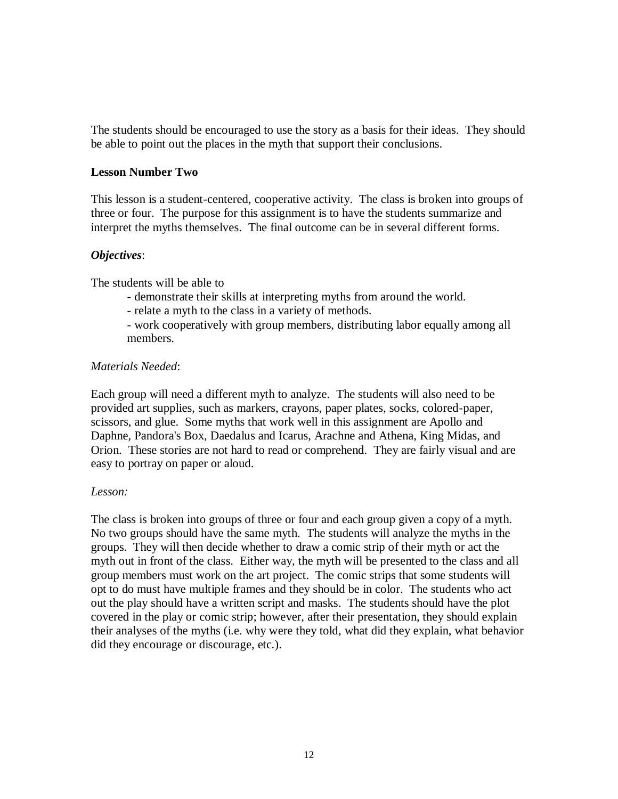The students should be encouraged to use the story as a basis for their ideas. They should be able to point out the places in the myth that support their conclusions.

# **Lesson Number Two**

This lesson is a student-centered, cooperative activity. The class is broken into groups of three or four. The purpose for this assignment is to have the students summarize and interpret the myths themselves. The final outcome can be in several different forms.

# *Objectives*:

The students will be able to

- demonstrate their skills at interpreting myths from around the world.
- relate a myth to the class in a variety of methods.
- work cooperatively with group members, distributing labor equally among all members.

# *Materials Needed*:

Each group will need a different myth to analyze. The students will also need to be provided art supplies, such as markers, crayons, paper plates, socks, colored-paper, scissors, and glue. Some myths that work well in this assignment are Apollo and Daphne, Pandora's Box, Daedalus and Icarus, Arachne and Athena, King Midas, and Orion. These stories are not hard to read or comprehend. They are fairly visual and are easy to portray on paper or aloud.

#### *Lesson:*

The class is broken into groups of three or four and each group given a copy of a myth. No two groups should have the same myth. The students will analyze the myths in the groups. They will then decide whether to draw a comic strip of their myth or act the myth out in front of the class. Either way, the myth will be presented to the class and all group members must work on the art project. The comic strips that some students will opt to do must have multiple frames and they should be in color. The students who act out the play should have a written script and masks. The students should have the plot covered in the play or comic strip; however, after their presentation, they should explain their analyses of the myths (i.e. why were they told, what did they explain, what behavior did they encourage or discourage, etc.).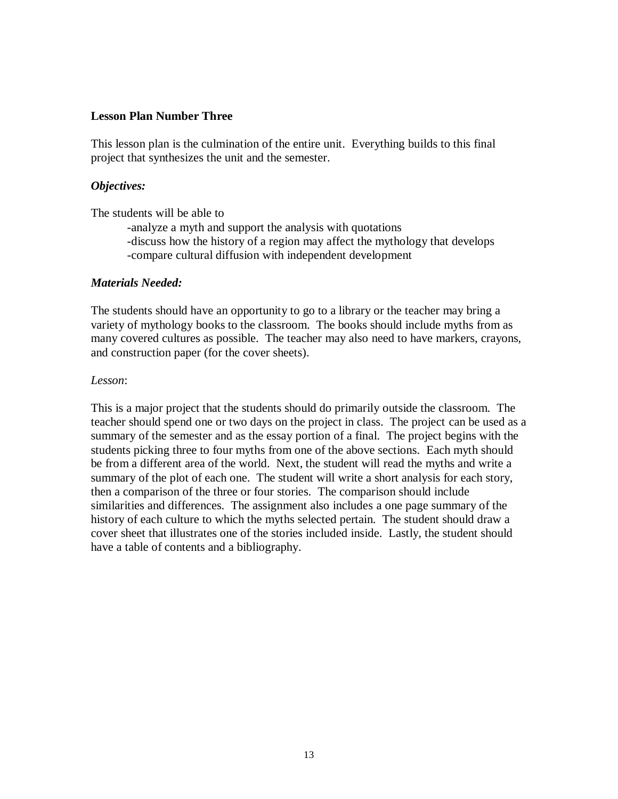# **Lesson Plan Number Three**

This lesson plan is the culmination of the entire unit. Everything builds to this final project that synthesizes the unit and the semester.

# *Objectives:*

The students will be able to

-analyze a myth and support the analysis with quotations -discuss how the history of a region may affect the mythology that develops -compare cultural diffusion with independent development

# *Materials Needed:*

The students should have an opportunity to go to a library or the teacher may bring a variety of mythology books to the classroom. The books should include myths from as many covered cultures as possible. The teacher may also need to have markers, crayons, and construction paper (for the cover sheets).

# *Lesson*:

This is a major project that the students should do primarily outside the classroom. The teacher should spend one or two days on the project in class. The project can be used as a summary of the semester and as the essay portion of a final. The project begins with the students picking three to four myths from one of the above sections. Each myth should be from a different area of the world. Next, the student will read the myths and write a summary of the plot of each one. The student will write a short analysis for each story, then a comparison of the three or four stories. The comparison should include similarities and differences. The assignment also includes a one page summary of the history of each culture to which the myths selected pertain. The student should draw a cover sheet that illustrates one of the stories included inside. Lastly, the student should have a table of contents and a bibliography.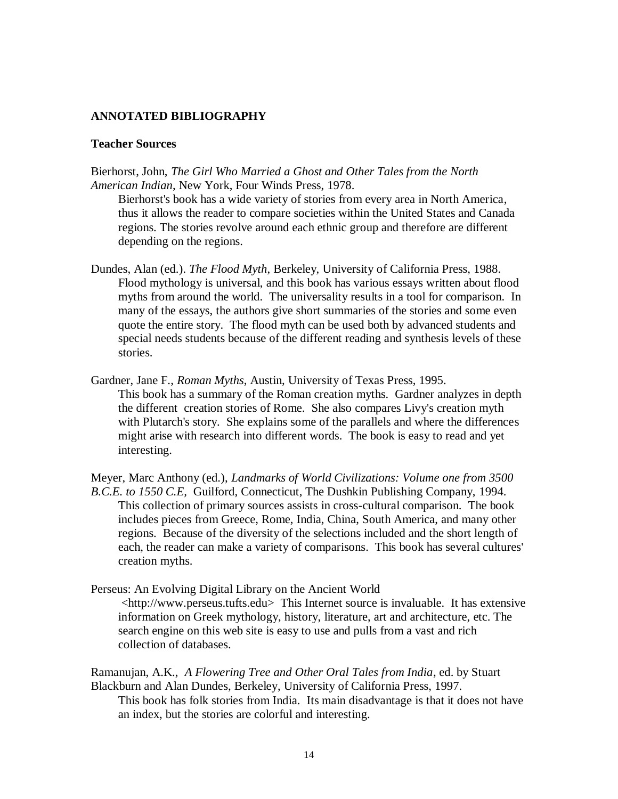# **ANNOTATED BIBLIOGRAPHY**

#### **Teacher Sources**

Bierhorst, John, *The Girl Who Married a Ghost and Other Tales from the North American Indian*, New York, Four Winds Press, 1978.

Bierhorst's book has a wide variety of stories from every area in North America, thus it allows the reader to compare societies within the United States and Canada regions. The stories revolve around each ethnic group and therefore are different depending on the regions.

- Dundes, Alan (ed.). *The Flood Myth*, Berkeley, University of California Press, 1988. Flood mythology is universal, and this book has various essays written about flood myths from around the world. The universality results in a tool for comparison. In many of the essays, the authors give short summaries of the stories and some even quote the entire story. The flood myth can be used both by advanced students and special needs students because of the different reading and synthesis levels of these stories.
- Gardner, Jane F., *Roman Myths*, Austin, University of Texas Press, 1995. This book has a summary of the Roman creation myths. Gardner analyzes in depth the different creation stories of Rome. She also compares Livy's creation myth with Plutarch's story. She explains some of the parallels and where the differences might arise with research into different words. The book is easy to read and yet interesting.

Meyer, Marc Anthony (ed.), *Landmarks of World Civilizations: Volume one from 3500 B.C.E. to 1550 C.E,* Guilford, Connecticut, The Dushkin Publishing Company, 1994. This collection of primary sources assists in cross-cultural comparison. The book includes pieces from Greece, Rome, India, China, South America, and many other regions. Because of the diversity of the selections included and the short length of each, the reader can make a variety of comparisons. This book has several cultures' creation myths.

Perseus: An Evolving Digital Library on the Ancient World <http://www.perseus.tufts.edu> This Internet source is invaluable. It has extensive information on Greek mythology, history, literature, art and architecture, etc. The search engine on this web site is easy to use and pulls from a vast and rich

collection of databases.

Ramanujan, A.K., *A Flowering Tree and Other Oral Tales from India*, ed. by Stuart Blackburn and Alan Dundes, Berkeley, University of California Press, 1997.

This book has folk stories from India. Its main disadvantage is that it does not have an index, but the stories are colorful and interesting.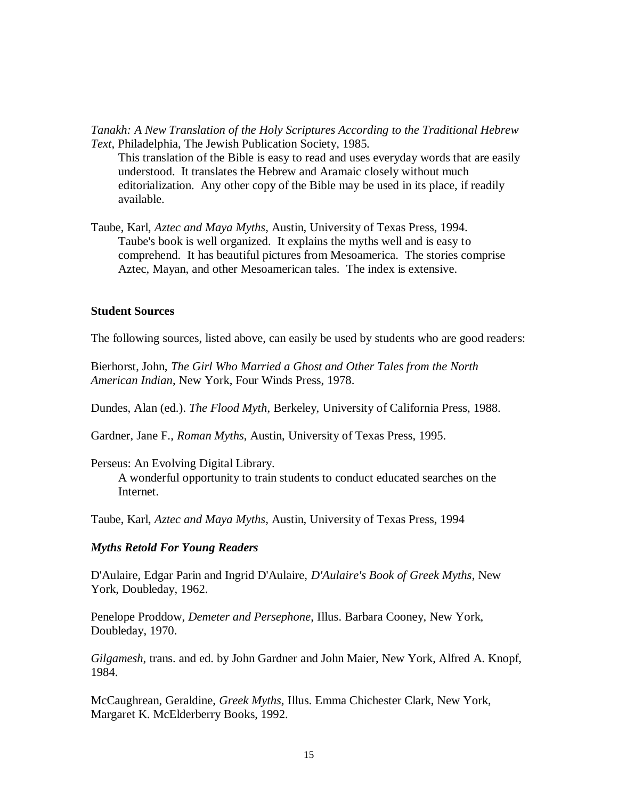*Tanakh: A New Translation of the Holy Scriptures According to the Traditional Hebrew Text*, Philadelphia, The Jewish Publication Society, 1985.

This translation of the Bible is easy to read and uses everyday words that are easily understood. It translates the Hebrew and Aramaic closely without much editorialization. Any other copy of the Bible may be used in its place, if readily available.

Taube, Karl, *Aztec and Maya Myths*, Austin, University of Texas Press, 1994. Taube's book is well organized. It explains the myths well and is easy to comprehend. It has beautiful pictures from Mesoamerica. The stories comprise Aztec, Mayan, and other Mesoamerican tales. The index is extensive.

# **Student Sources**

The following sources, listed above, can easily be used by students who are good readers:

Bierhorst, John, *The Girl Who Married a Ghost and Other Tales from the North American Indian*, New York, Four Winds Press, 1978.

Dundes, Alan (ed.). *The Flood Myth*, Berkeley, University of California Press, 1988.

Gardner, Jane F., *Roman Myths*, Austin, University of Texas Press, 1995.

Perseus: An Evolving Digital Library.

A wonderful opportunity to train students to conduct educated searches on the Internet.

Taube, Karl, *Aztec and Maya Myths*, Austin, University of Texas Press, 1994

#### *Myths Retold For Young Readers*

D'Aulaire, Edgar Parin and Ingrid D'Aulaire, *D'Aulaire's Book of Greek Myths*, New York, Doubleday, 1962.

Penelope Proddow, *Demeter and Persephone*, Illus. Barbara Cooney, New York, Doubleday, 1970.

*Gilgamesh*, trans. and ed. by John Gardner and John Maier, New York, Alfred A. Knopf, 1984.

McCaughrean, Geraldine, *Greek Myths*, Illus. Emma Chichester Clark, New York, Margaret K. McElderberry Books, 1992.